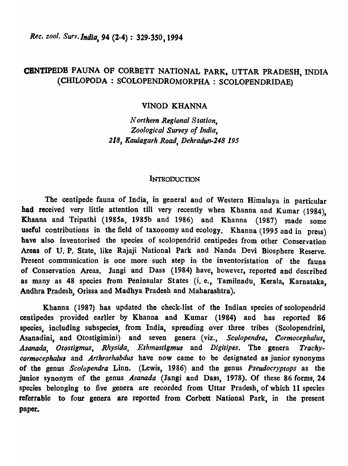*Rec. zool. Surv.tndla,* 94 (2-4) : *329-3S0,1994* 

# CBNTIPBDB FAUNA OF CORBETT NATIONAL PARK, UTTAR PRADESH, INDIA (CHILOPODA : SCOLOPENDROMORPHA : SCOLOPBNDRIDAE)

### VINOD KHANNA

*Northern Regional Station, Zoological Survey of India, 218, Kaulagarh Road, Dehradun-248 195* 

#### **INTRODUCTION**

The centipede fauna of India, in general and of Western Himalaya in particular had received very little attention till very recently when Khanna and Kumar (1984), Khanna and Tripathi (1985a, 1985b and 1986) and Khanna (1987) made some useful contributions in the field of taxonomy and ecology. Khanna (1995 and in press) have also inventorised the species of scolopendrid centipedes from other Conservation Areas of U. P. State, like Rajaji National Park and Nanda Devi Biosphere Reserve. Present communication is one more such step in the inventoristation of the fauna of Conservation Areas. Jangi and Dass (1984) have, however, reported and described as many as 48 species from Peninsular States (i. e., Tamilnadu, Kerala, Karnataka, Andhra Pradesh, Orissa and Madhya Pradesh and Maharashtra).

Khanna (1987) has updated the check-list of the Indian species of scolopendrid centipedes provided earlier by Khanna and Kumar (1984) and has reported 86 species, including subspecies, from India, spreading over three tribes (Scolopendrini, Asanadini, and Otostigimini) and seven genera (viz., *Scolopendra, Cormocephalus,*  Asanada, Otostigmus, Rhysida, Ethmostigmus and Digitipes. The genera Trachy*cormocephalus* and *Arthrorhabdus* have now came to be designated as junior synonyms of the genus *Scolopendra* Linn. (Lewis, 1986) and the genus *Pseudocryptops* as the juniop synonym of the genus *Asanada* (Jangi and Dass, 1978). Of these 86 forms, 24 species belonging to five genera are recorded from Uttar Pradesh, of which 11 species referrable to four genera are reported from Corbett National Park, in the present paper.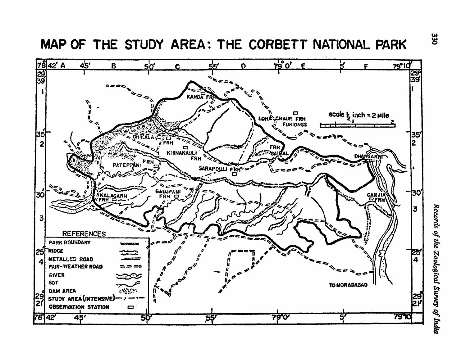MAP OF THE STUDY AREA: THE CORBETT NATIONAL PARK

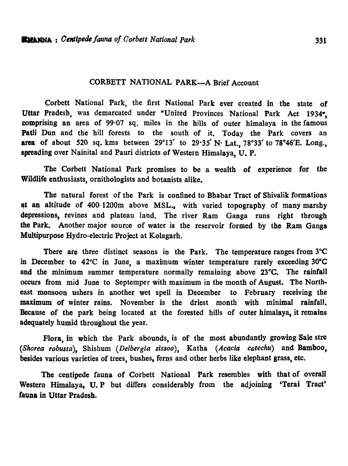## CORBETT NATIONAL PARK-A Brief Account

Corbett National Park, the first National Park ever created in the state of Uttar Pradesb, was demarcated under "United Provinces National Park Act 1934", comprising an area of 99·07 sq. miles in the bills of outer himalaya in the famous Patli Dun and the hill forests to the south of it. Today the Park covers an area of about 520 sq. kms between *29°13'* to 29·35' N· Lat., *78°33'* to 78°46'E. Long., spreading over Nainital and Pauri districts of Western Himalaya, U. P.

The Corbett National Park promises to be a wealth of experience for the Wildlife enthusiasts, ornithologists and botanists alike.

The natural forest of the Park is confined to Bhabar Tract of Shivalik formations at an altitude of 400-1200m above MSL., with varied topography of many marshy depressions, revines and plateau land. The river Ram Ganga runs right through the Park. Another major source of water is the reservoir formed by the Ram Ganga Multipurpose Hydro-electric Project at Kolagarh.

There are three distinct seasons in the Park. The temperature ranges from 3<sup>o</sup>C in December to  $42^{\circ}$ C in June, a maximum winter temperature rarely exceeding  $30^{\circ}$ C and the minimum summer temperature normally remaining above 23°C. The rainfall occurs from mid June to Septemper with maximum in the month of August. The Northeast monsoon ushers in another wet spell in December to February receiving the maximum of winter rains. November is the driest month with minimal rainfall. Because of the park being located at the forested hills of outer himalaya, it remains adequately humid throughout the year.

Flora, in which the Park abounds, is of the most abundantly growing Sale stre *(Shorea robusta)*, Shishum *(Delbergia sissoo)*, Katha *(Acacia catechu)* and Bamboo, besides various varieties of trees, bushes, ferns and other herbs like elephant grass, etc.

The centipede fauna of Corbett National Park resembles with that of overall Western Himalaya, U. P but differs considerably from the adjoining 'Terai Tract' fauna in Uttar Pradesh.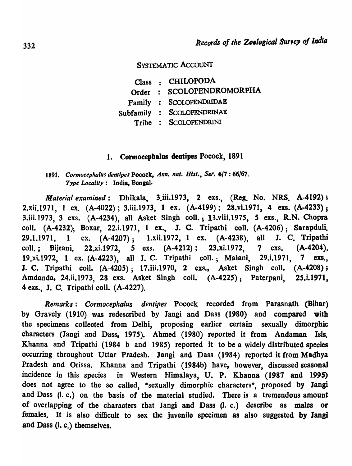### SYSTEMATIC ACCOUNT

Class : CHILOPODA SCOLOPENDROMORPHA Order : Family : SCOLOPENDRIDAE Subfamily : SCOLOPENDRINAE Tribe : SCOLOPENDRINI

#### 1. Cormocephalus dentipes Pocock, 1891

## 1891. Cormocephalus dentipes Pocock, *Ann. nat. Hist., Ser.* 6/7:66/67. *Type Locality:* India, Bengal.

*Material examined*: Dhikala, 3.iii.1973, 2 exs., (Reg. No. NRS. A-4192); 2.xii.1971, 1 ex. (A-4022); 3.iii.t973, 1 ex. (A-4199); 28.vi.1971, 4 exs. (A-4233); 3.iii.1973, 3 exs. (A-4234), all Asket Singh colI.; 13.viii.197S, S exs., R.N. Chopra colI. (A-4232); Boxar, 22.i.1971, 1 ex., J. C. Tripathi coIl. (A-4206); Sarapduli. 29.1.1971, 1 ex. (A-4207); 1.xii.1972, 1 ex. (A-4238), all J. C. Tripathi coli.; Bijrani, 22.xi.1972, 5 exs. (A-4212); 23.xi.1972, 7 exs. (A-4204). 19.xi.1972, 1 ex. (A-4223), all J. C. Tripathi coll.; Malani, 29.i.1971, 7 exs., J. C. Tripathi coll. (A-4205); 17.iii.1970, 2 exs., Asket Singh coll. (A-4208); Amdanda, 24.ii.1973, 28 exs. Asket Singh colI. *(A-422S);* Paterpani, 2S.i.1971, 4 exs., J. C. Tripathi colI. (A-4227).

*Remarks: Cormocephalus dentipes* Pocock recorded from Parasnath (Bihar) by Gravely (1910) was redescribed by Jangi and Dass (1980) and compared with the specimens collected from Delhi, proposing earlier certain sexually dimorphic characters (Jangi and Dass, 1975). Abmed (1980) reported it from Andaman IsIs. Khanna and Tripathi (1984 b and 1985) reported it to be a widely distributed species occurring throughout Uttar Pradesh. Jangi and Dass (1984) reported it from Madhya Pradesh and Orissa. Khanna and Tripathi (1984b) have, however, discussed seasonal incidence in this species in Western Himalaya, U. P. Khanna (1987 and 1995) does not agree to the so called, "sexually dimorphic characters", proposed by Jangi and Dass (I. c.) on the basis of the material studied. There is a tremendous amount of overlapping of the characters that Jangi and Dass Q. c.) describe as males or females. It is also difficult to sex the juvenile specimen as also suggested by Jangi and Dass (I. c.) themselves.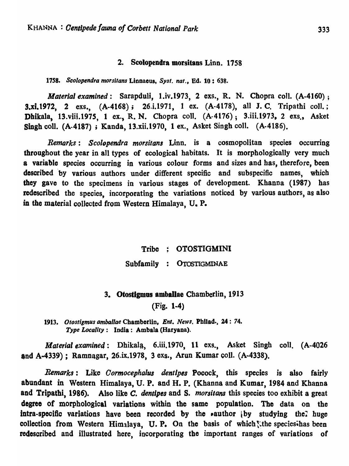#### 2. Scolopendra morsitans Linn. 1758

1758. Scolopendra morsitans Linnaeus, *Syst. nat.*, **Ed. 10: 638.** 

*Material examined*: Sarapduli, 1.iv.1973, 2 exs., R. N. Chopra coll. (A-4160); 3.xi.t972, 2 exs., (A-4168); 26.i.1971, 1 ex. (A-417S), all J. C. Tripathi coli.; Dhikala, 13.viii.1975, 1 ex., R. N. Chopra coll. (A-4176); 3.iii.1973, 2 exs., Asket Singh coll. (A-4187); Kanda, 13.xii.1970, 1 ex., Asket Singh coll. (A-4186).

*Remarks: Scolopendra morsitans* Linn. is a cosmopolitan species occurring throughout the year in all types of ecological habitats. It is morphologically very much a variable species occurring in various colour forms and sizes and has, therefore, been described 'by various authors under different specific and subspecific names, which they gave to the specimens in various stages of development. Khanna (1987) has redescribed the species, incorporating the variations noticed by various authors, as also in the material collected from Western Himalaya, U. P.

Tribe : OTOSTIGMINI

Subfamily : OTOSTIGMlNAE

### 3. Otostigmus amballae Chamberlin, 1913

(Fig. 1-4)

*1913. Otost;gmus amballae* Chamborlin, *Ent. News.* Phllad., 24: 74. *Type Locality:* India: Ambala (Haryana).

*Material examined* : Dhikala, 6.iii.1970, 11 exs., Asket Singh coll. (A-4026 and A-4339); Ramnagar, 26.ix.1978, 3 exs., Arun Kumar colI. (A-4338).

*Remarks:* Like *Oormocephalus dentlpes* Pooock, this species is also fairly abundant in Western Himalaya, U. P. and H. P. (Khanna and Kumar, 1984 and Khanna and Tripathi, 1986). Also like C. *dentipes* and S. *morsitans* this species too exhibit a great degree of morphological variations within the same population. The data on the intra-specific variations have been recorded by the *sauthor*  $\{bv\}$  studying the? huge collection from Western Himalaya, U. P. On the basis of which : the species has been redescribed and illustrated here, incorporating the important ranges of variations of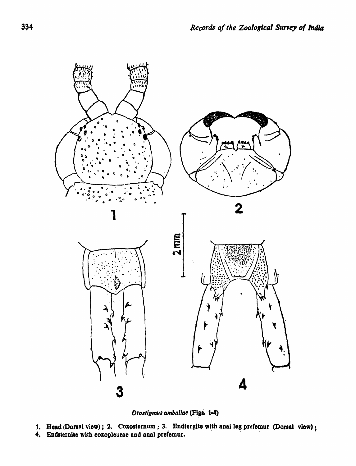

Otostigmus amballae (Figs. 1-4)

- 1. Head (Dorsal view); 2. Coxosternum; 3. Endtergite with anal leg prefemur (Dorsal view);
- 4. Endsternite with coxopleurae and anal prefemur.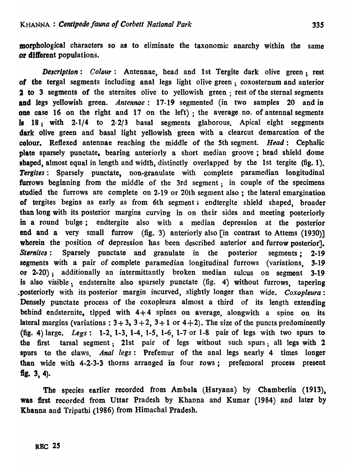morphological characters so as to eliminate the taxonomic anarchy within the same or different populations.

*Description: Colour:* Antennae, head and 1st Tergite dark olive green: rest of the tergal segments including anal legs light olive green; coxosternum and anterior 2 to 3 segments of the sternites olive to yellowish green; rest of the sternal segments and legs yellowish green. *Antennae:* 17 -19 segmented (in two samples 20 and in one case 16 on the right and 17 on the left); the average no. of antennal segments la 18; with 2-1/4 to 2-2/3 basal segments glaborous. Apical eight seggments dark olive green and basal light yellowish green with a cleareut demarcation of the colour. Reftexed antennae reaching the middle of the 5th segment. *Head:* Cephalic plate sparsely punctate, bearing anteriorly a short median groove; head shield dome shaped, almost equal in length and width, distinctly overlapped by the 1st tergite (fig. 1). *Tergites:* Sparsely punctate, non-granulate with complete paramedian longitudinal furrows beginning from the middle of the 3rd segment; in couple of the specimens studied the furrows are complete on 2-19 or 20th segment also ; the lateral emargination of tergites begins as early as from 6th segment; endtergite shield shaped, broader than long with its posterior margins curving in on their sides and meeting posteriorly in a round bulge; endtergite also with a median depression at the posterior end and a very small furrow (fig. 3) anteriorly also [in contrast to Attems (1930)] wherein the position of depression has been described anterior and furrow posterior. *Sternites*: Sparsely punctate and granulate in the posterior segments: 2-19 segments with a pair of complete paramedian longitudinal furrows (variations, 3-19 or 2-20); additionally an intermittantly broken median sulcus on segment 3-19 is also visible; endsternite also sparsely punctate (fig. 4) without furrows, tapering .posteriorly with its posterior margin incurved, slightly longer than wide. *Coxopleura:*  Densely punctate process of the coxopleura almost a third of its length extending behind endsternite, tipped with  $4+4$  spines on average, alongwith a spine on its lateral margins (variations :  $3 + 3$ ,  $3 + 2$ ,  $3 + 1$  or  $4 + 2$ ). The size of the puncts predominently (fig. 4) large, *Legs:* 1-2, 1-3, 1-4, 1-5, 1-6, 1-7 or 1-8 pair of legs with two spurs to the first tarsal segment; 21st pair of legs without such spurs; all legs with 2 spurs to the claws. *Anal legs:* Prefemur of the anal legs nearly 4 times longer than wide with 4-2-3-3 thorns arranged in four rows; prefemoral process present fig.  $3, 4$ ).

The species earlier recorded from Ambala (Haryana) by Chamberlin (1913), was first recorded from Uttar Pradesh by Khanna and Kumar (1984) and later by Khanna and Tripathi (1986) from Himachal Pradesh,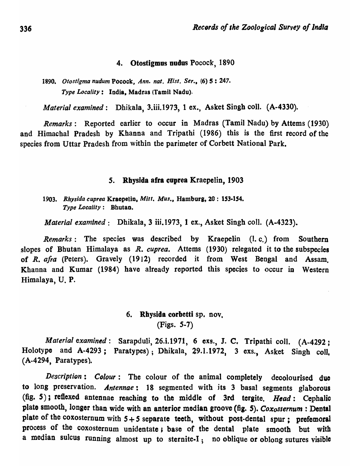#### 4. Otostigmus nudus Pocock, 1890

*1890. Otostigma nudum* Pocock, *Ann. nat. Hist. Ser.,* (6) 5 : 247. *Type Locality:* India, Madras (Tamil Nadu).

*Material examined*: Dhikala, 3.iii.1973, 1 ex., Asket Singh coll. (A-4330).

*Remarks:* Reported earlier to occur in Madras (Tamil Nadu) by Attems (1930) and Himachal Pradesh by Khanna and Tripathi (1986) this is the first record of the species from Uttar Pradesh from within the parimeter of Corbett National Park.

#### 5. Rhysida afra cuprea Kraepelin, 1903

*1903. Rhysida cuprea* Kraepelio. *Mitt. Mus.,* Hamburg,20: 153·154. *Type Locality:* Bhutan.

*Material examined:* Dhikala, 3 iii.1973, 1 ex., Asket Singh coli. (A-4323).

*Remarks:* The species was described by Kraepelin (I. c.) from Southern slopes of Bhutan Himalaya as *R. cuprea.* Attems (1930) relegated it to the subspecies of *R. afra* (Peters). Gravely (1912) recorded it from West Bengal and Assam. Khanna and Kumar (1984) have already reported this species to occur in Western Himalaya, U. P.

## 6. Rhysida corbetti sp. nov, (Figs. 5-7)

*Material examined:* Sarapduli, 26.i.1971, 6 exs., J. C, Tripathi coll. (A-4292; Holotype and A-4293; Paratypes); Dhikala, 29.1.1972, 3 exs., Asket Singh coll, (A-4294, Paratypes).

*Description: Colour:* The colour of the animal completely decolourised due to long preservation. *Antennae:* 18 segmented with its 3 basal segments glaborous (fig.  $5$ ); reflexed antennae reaching to the middle of 3rd tergite. Head: Cephalic plate smooth, longer than wide with an anterior median groove (fig. S). *Coxosternum* : Dental plate of the coxosternum with 5 + *5* separate teeth, without post-dental spur; prefemoral process of the coxosternum unidentate; base of the dental plate smooth but with a median sulcus running almost up to sternite-I; no oblique or oblong sutures visible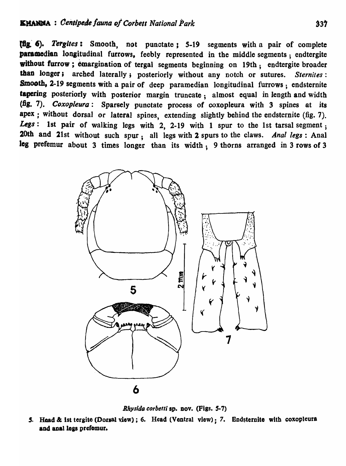{lis.' '). *Tergltes:* Smooth, not punctate: 5-19 segments with a pair of complete paramedian longitudinal furrows, feebly represented in the middle segments; endtergite without furrow; emargination of tergal segments beginning on 19th; endtergite broader than longer j arched laterally; posteriorly without any notch or sutures. *Sternites:*  Smooth, 2-19 segments with a pair of deep paramedian longitudinal furrows; endsternite tapering posteriorly with posterior margin truncate; almost equal in length and width (fig. 7). *Coxopleura*: Sparsely punctate process of coxopleura with 3 spines at its apex; without dorsal or lateral spines, extending slightly behind the endsternite (fig. 7). Legs: 1st pair of walking legs with 2, 2-19 with 1 spur to the 1st tarsal segment; 20th and 21st without such spur; all legs with 2 spurs to the claws. *Anal legs* : Anal leg prefemur about 3 times longer than its width; 9 thorns arranged in 3 rows of 3



*Rhysida corbetti* sp. nov. (Figs. 5-7)

5. Head & 1st tergite (Dorsal view); 6. Head (Ventral view): 7. Endsternite with coxopleura and anal legs prefemur.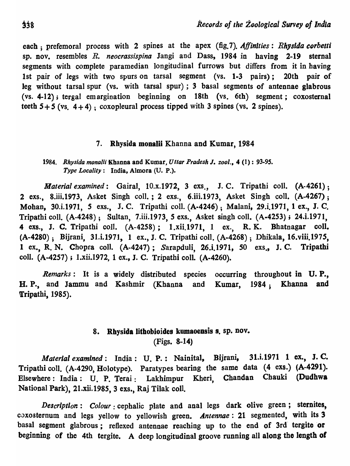each; prefemoral process with 2 spines at the apex (fig.7). *Affinities: Rhysida corbetti* sp. nov. resembles *R. neocrassispina* Jangi and Dass, 1984 in having 2-19 sternal segments with complete paramedian longitudinal furrows but differs from it in having 1st pair of legs with two spurs on tarsal segment (vs. 1-3 pairs); 20th pair of leg without tarsal spur (vs. with tarsal spur); 3 basal segments of antennae glabrous (vs. 4-12); tergal emargination beginning on 18th (vs. 6th) segment; coxosternal teeth  $5+5$  (vs.  $4+4$ ); coxopleural process tipped with 3 spines (vs. 2 spines).

## 7. Rhysida monalii Khanna and Kumar, 1984

*1984. Rhysida monalii* Khanna and Kumar, *Uttar Pradesh* I. *zool.,* 4 (1) : *93-9S. Type Locality:* India. Almora (U. P.).

*Material examined*: Gairal, 10.x.1972, 3 exs., J. C. Tripathi coll. (A-4261); 2 exs., 8.iii.1973, Asket Singh colI.; 2 exs., 6.iii.1973, Asket Singh colI. (A-4267); Mohan, 30.i.1971, *S* exs., J. C. Tripathi colI. (A-4246); Malani, 29.i.1971, 1 ex., J. C. Tripathi coIl. (A-424S); Sultan, 7.iii.1973, 5 exs., Asket singh colI. (A-4253); 24.i.1971, 4 exs., J. C. Tripathi coil. (A-425S); l.xii.1971, 1 ex., R. K. Bhatnagar coil. (A-4280); Bijrani, 31.i.1971, 1 ex., J. C. Tripathi coli. (A-4268); Dhikala, 16.viii.197S, 1 ex., R. N. Chopra coli. (A.4247); Sarapduli, 26.i.1971, SO exs., J. C. Tripathi colI. *(A-42S7);* l.xii.1972, 1 ex., J. C. Tripathi coIl. (A-4260).

*Remarks:* It is a widely distributed species occurring throughout in U. P., H. P., and Jammu and Kashmir (Khanna and Kumar, 1984; Khanna and Tripathi, 1985).

# 8. Rhysida lithobioides kumaoensis s. sp. nov. (Figs. 8-14)

*Material examined:* India: U. P.: Nainital, Bijrani, 31.i.1971 1 ex., J. C. Tripathi coli. (A-4290, Holotype). Paratypes bearing the same data (4 exs.) (A-4291). Elsewhere: India: U. p. Terai: Lakhimpur Kheri, Chandan Chauki (Dudhwa National Park), 21.xii.198S, 3 exs., Raj Tilak coil.

*Description: Colour*: cephalic plate and anal legs dark olive green; sternites, coxosternum and legs yellow to yellowish green. *Antennae:* 21 segmented, with its 3 basal segment glabrous; refiexed antennae reaching up to the end of 3rd' tergite 'or beginning of the 4th tergite. A deep longitudinal groove running all along the length of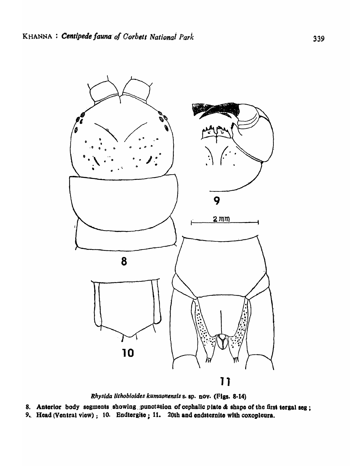

Rhysida lithobioides kumaonensis s. sp. nov. (Figs. 8-14)

8. Anterior body segments showing punctation of cephalic plate & shape of the first tergal seg; 9. Head (Ventral view) ; 10. Endtergite ; 11. 20th and endsternite with coxopleura.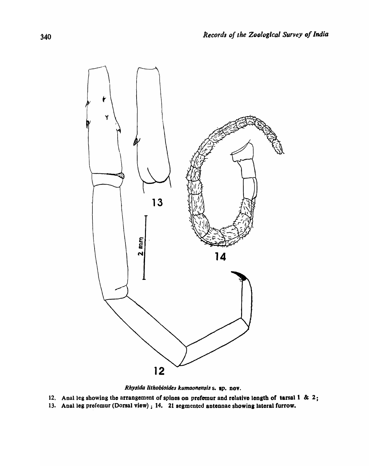

Rhysida lithobioides kumaonensis s. sp. nov.

- 12. Anal leg showing the arrangement of spines on prefemur and relative length of tarsal  $1 \& 2$ ;
- 13. Anal leg prefemur (Dorsal view) ; 14. 21 segmented antennae showing lateral furrow.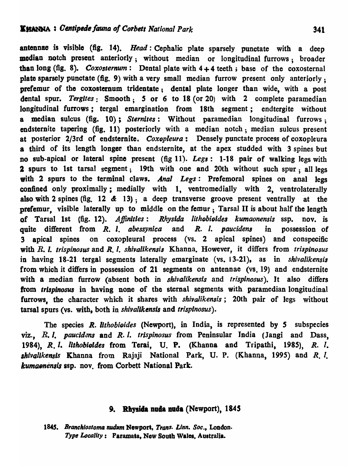antennae is visible (fig. 14). *Head:* Cephalic plate sparsely punctate with a deep median notch present anteriorly; without median or longitudinal furrows; broader than long (fig. 8). *Coxosternum*: Dental plate with  $4+4$  teeth; base of the coxosternal plate sparsely punctate (fig. 9) with a very small median furrow present only anteriorly; prefemur of the coxostemum tridentate; dental plate longer than wide, with a post dental spur. *Tergites*: Smooth; 5 or 6 to 18 (or 20) with 2 complete paramedian longitudinal furrows; tergal emargination from 18th segment; endtergite without a median sulcus (fig. 10); *Sternltes:* Without paramedian longitudinal furrows; endsternite tapering (fig. 11) posteriorly with a median notch; median sulcus present at posterior 2/3rd of endsternite. *Coxopleura*: Densely punctate process of coxopleura a third of its length longer than endsternite, at the apex studded with 3 spines but no sub-apical or lateral spine present (fig 11). *Legs:* 1-18 pair of walking legs with 2 spurs to 1st tarsal segment; 19th with one and 20th without such spur; all legs with 2 spurs to the terminal claws. *Anal Legs*: Prefemoral spines on anal legs confined only proximally; medially with 1, ventromedially with 2, ventrolaterally also with 2 spines (fig. 12  $\&$  13); a deep transverse groove present ventrally at the prefemur, visible laterally up to middle on the femur; Tarsal II is about half the length of Tarsal 1st (fig. 12). *Affinities: Rhysida lithobioides kumaonensis* ssp. nov. is quite different from R. I. *abessynica* and R. I. *paucidena* in possession of 3 apical spines on coxopleural process (vs. 2 apical spines) and conspecific with R. I. *trispinosus* and *R.* I. *shivalikensis* Khanna. However, it differs from *trispinosus*  in having 18-21 tergal segments laterally emarginate (vs. 13-21), as in *shivalikensis*  from which it differs in possession of 21 segments on antennae (vs. 19) and endsternite with a median furrow (absent both in *shivalikensls* and *trisplnosus).* It also differs from *trispinosus* in having none of the sternal segments with paramedian longitudinal furrows, the character which it shares with *shivalikensis;* 20th pair of legs without tarsal spurs (vs. with, both in *shivallkensis* and *trisplnosus).* 

The species *R. lithobioides* (Newport), in India, is represented by S subspecies viz., R. I. *paucidens* and R. I. *trispinosus* from Peninsular India (Jangi and Dass, 1984), R. *I. Ilthobioldes* from Terai, U. P. (Khanna and Tripathi, 1985), R.I. *lhivallkensls* Khanna from Rajaji National Park, U. P. (Khanna, 1995) and R.I. *kumaonensis* ssp. nov. from Corbett National Park.

## 9. Rhysida nuda nuda (Newport), 1845

1845. Branchiostoma nudum Newport, *Trans. Linn. Soc.*, London. *Typ, LoClllity:* Paramata, New South Wales. Australia.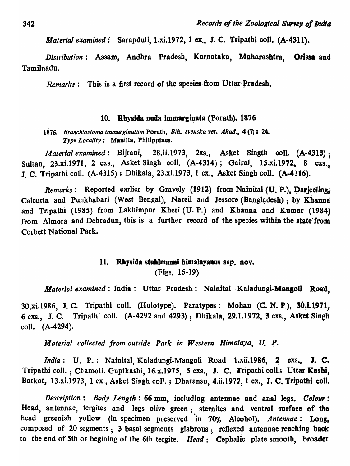*Material examined:* Sarapduli, 1.xi.1972, 1 ex., J. C. Tripathi coli. (A-4311).

*Distribution:* Assam, Andhra Pradesh, K'arnataka, Maharashtra, Orissa and' Tamilnadu.

*Remarks*: This is a first record of the species from Uttar Pradesh.

#### 10. Rhysida nuda immarginata (Porath), 1876

*1876. Branchiostoma immarginatum* Porath, *Bih. svenska vet. ,Akad.,* 4 (7): 24,. *Type Locality:* Manilla, Philippines.

*Material examined:* Bijrani, 28.ii.1973, 2xs., Asket Singth coll. (A-4313) : Sultan, 23.xi.1971, 2 exs., Asket Singh coll. (A-4314); Gairal, 15.xi.1972, 8 exs. J. C. Tripathi coll. (A-4315); Dhikala, 23.xi.1973, 1 ex., Asket Singh coll. (A-4316).

*Remarks:* Reported earlier by Gravely (1912) from Nainital (U. P.), Darjeeling. Calcutta and Punkhabari (West Bengal), Nareil and Jessore (Bangladesh) ; by Khanna and Tripathi (1985) from Lakhimpur Kheri (U. P.) and Khanna and Kumar (1984) from Almora and Dehradun, this is a further record of the species within the state from Corbett National Park.

# 11. Rhysida stuhlmanni bimalayanus ssp. nov. (Figs. 15-19)

*Material examined*: India: Uttar Pradesh: Nainital Kaladungi-Mangoli Road,

30.xi.1986, J. C. Tripathi coll. (Holotype). Paratypes: Mohan (C. N. P.), 30.i.1971, 6 exs., J. C. Tripathi coli. (A-4292 and 4293) ; Dhikala, 29.1.1972, 3 exs., Asket Singh coIl. (A-4294).

*Moterial collected from outside Park in Western Himalaya, U.* p.

*India*: U. P.: Nainital, Kaladungi-Mangoli Road 1,xii.1986, 2 exs., J. C. Tripathi coll.; Chamoli. Guptkashi, 16.x.1975, 5 exs., J. C. Tripathi coll.; Uttar Kashi, Barkot, 13.xi.1973, 1 ex., Asket Singh coll.; Dharansu, 4.ii.1972, 1 ex., J. C. Tripathi coll.

*Description: Body Length:* 66 mm, including antennae and anal legs. *Colour:*  Head, antennae, tergites and legs olive green; sternites and ventral surface of the head greenish yollow (in specimen preserved in 70% Alcohol). *Antennae*: Long, composed of 20 segments; 3 basal segments glabrous; reftexed antennae reaching back to the end of 5th or begining of the 6th tergite. *Head*: Cephalic plate smooth, broader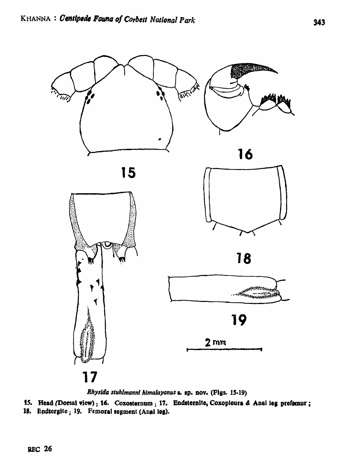

Rhysida stuhlmanni himalayanus s. sp. nov. (Figs. 15-19)

15. Head (Dorsal view); 16. Coxosternum; 17. Endsternite, Coxopieura & Anal leg prefemur; 18. Endtergite; 19. Femoral segment (Anal leg).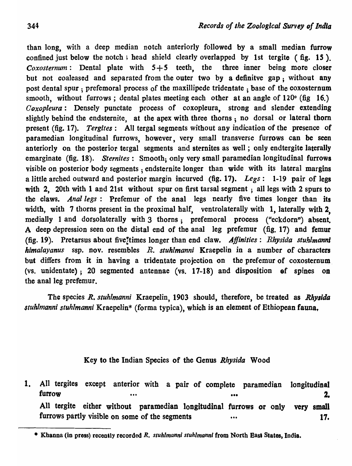than long, with a deep median notch anteriorly followed by a small median furrow confined just below the notch; head shield clearly overlapped by 1st tergite (fig. 15). *Coxosternum*: Dental plate with  $5+5$  teeth, the three inner being more closer but not coaleased and separated from the outer two by a definitve gap; without any post dental spur; prefemoral process of the maxillipede tridentate; base of the coxosternum smooth, without furrows; dental plates meeting each other at an angle of  $120^{\circ}$  (fig 16.) *Coxopleura:* Densely punctate process of coxopleura, strong and slender extending slightly behind the endsternite, at the apex with three thorns; no dorsal or lateral thorn present (fig. 17). *Tergites:* AU tergal segments without any indication of the presence of paramedian longitudinal furrows, however, very small transverse furrows can be seen anteriorly on the posterior tergal segments and sternites as well; only endtergite laterally emarginate (fig. 18). *Sternites:* Smooth; only very small paramedian longitudinal furrows visible on posterior body segments; endsternite longer than wide with its lateral margins a little arched outward and posterior margin incurved (fig. 17). *Legs:* 1-19 pair of legs with 2, 20th with 1 and 21st without spur on first tarsal segment; all legs with 2 spurs to the claws. *Anal legs:* Prefemur of the anal legs nearly five times longer than its width, with 7 thorns present in the proximal half, ventrolaterally with 1, laterally with 2, medially 1 and dorsolaterally with 3 thorns; prefemoral process ("eckdorn") absent. A deep depression seen on the distal end of the anal leg prefemur (fig. 17) and femur (fig. 19). Pretarsus about five!times longer than end claw. *Affinities: Rhysida stuhlmannl him alayan us* ssp. nov. resembles *R. stuhlmanni* Kraepelin in a number of characters but differs from it in baving a tridentate projection on the prefemur of coxosternum, (vs. unidentate); 20 segmented antennae (vs.  $17-18$ ) and disposition of spines on the anal leg prefemur.

The species *R. sluhlmanni* Kraepelin, 1903 should, therefore, be treated as *Rhyaida stuhlmanni stuhlmanni* Kraepelin\* (forma typica), which is an element of Ethiopean fauna,

## Key to the Indian Species of the Genus *Rhysida* Wood

1. All tergites except anterior with a pair of complete paramedian furrow •.• • .. All tergite either without paramedian longitudinal furrows or only furrows partly visible on some of the segments •••• longitudinal 2. very small 17.

<sup>•</sup> Khanna (in press) recently recorded *R. stuhlmanni stuhlmanni* from North East States, India.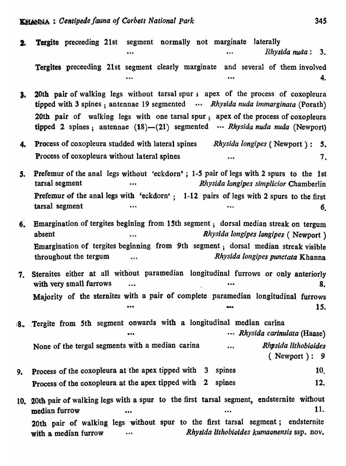| 2. | Tergite preceeding 21st segment normally not marginate laterally<br>Rhysida nuda: $3.$                                                                                                                                                                    |
|----|-----------------------------------------------------------------------------------------------------------------------------------------------------------------------------------------------------------------------------------------------------------|
|    | Tergites preceeding 21st segment clearly marginate and several of them involved<br>4.                                                                                                                                                                     |
| 3. | 20th pair of walking legs without tarsal spur; apex of the process of coxopleura<br>tipped with 3 spines; antennae 19 segmented $$ Rhysida nuda immarginata (Porath)<br>20th pair of walking legs with one tarsal spur, apex of the process of coxopleura |
|    | tipped 2 spines; antennae $(18)$ — $(21)$ segmented $\cdots$ Rhysida nuda nuda (Newport)                                                                                                                                                                  |
| 4. | <b>Process of coxopleura studded with lateral spines</b> Rhysida longipes (Newport):<br>5.<br>Process of coxopleura without lateral spines<br>7.<br>$\bullet$ $\bullet$                                                                                   |
| 5. | <b>Prefemur</b> of the anal legs without 'eckdorn'; 1-5 pair of legs with 2 spurs to the 1st<br>tarsal segment<br>Rhysida longipes simplicior Chamberlin<br>$\bullet\bullet\bullet$                                                                       |
|    | Prefemur of the anal legs with 'eckdorn'; 1-12 pairs of legs with 2 spurs to the first<br>tarsal segment<br>6 <sub>l</sub>                                                                                                                                |
| 6. | Emargination of tergites begining from 15th segment; dorsal median streak on tergum<br>Rhysida longipes longipes (Newport)<br>absent<br>$\bullet\bullet\bullet$                                                                                           |
|    | Emargination of tergites beginning from 9th segment; dorsal median streak visible<br>Rhysida longipes punctata Khanna<br>throughout the tergum                                                                                                            |
| 7. | Sternites either at all without paramedian longitudinal furrows or only anteriorly<br>with very small furrows<br>8.<br>$\bullet\bullet\bullet$                                                                                                            |
|    | Majority of the sternites with a pair of complete paramedian longitudinal furrows<br>15.<br>                                                                                                                                                              |
|    | 8. Tergite from 5th segment onwards with a longitudinal median carina<br>Rhysida carinulata (Haase)<br>                                                                                                                                                   |
|    | None of the tergal segments with a median carina<br>Rhysida lithobioides<br>$\ddot{\phantom{a}}$<br>$($ Newport $): 9$                                                                                                                                    |
| 9. | Process of the coxopleura at the apex tipped with 3<br>spines<br>10.                                                                                                                                                                                      |
|    | Process of the coxopleura at the apex tipped with 2<br>12.<br>spines                                                                                                                                                                                      |
|    | 10. 20th pair of walking legs with a spur to the first tarsal segment, endsternite without<br>11.<br>median furrow<br>                                                                                                                                    |
|    | 20th pair of walking legs without spur to the first tarsal segment; endsternite<br>Rhysida lithobioides kumaonensis ssp. nov.<br>with a median furrow                                                                                                     |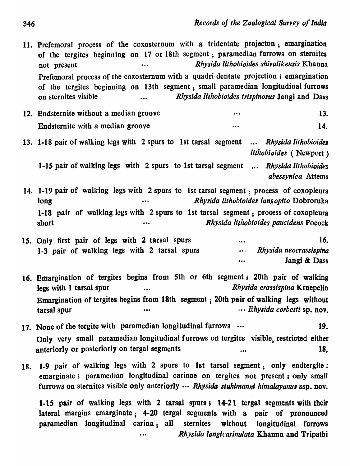11. Prefemoral process of the coxosternum with a tridentate projecton; emargination of the tergites beginning on 17 or 18th segment ; paramedian furrows on sternites not present *Rhysida llthobioides shivalikensis* Khanna Prefemoral process of the coxosternum with a quadri-dentate projection; emargination of the tergites beginning on 13th segment; small paramedian longitudinal furrows on sternites visible *Rhysida lithobioides trispinosus* Jangi and Dass

- 12. Endsternite without a median groove 13. Endsternite with a median groove 14.
- 13. 1-18 pair of walking legs with 2 spurs to 1st tarsal segment ... Rhysida lithobioides *lilhobioides* ( Newport)

*I-IS* pair of walking Jegs with 2 spurs to 1st tarsal segment .... *Rhysida lithobioides abessynica* Attems

- 14. 1-19 pair of walking legs with 2 spurs to 1st tarsal segment; process of coxopleura long *Rhysida lithobioides /ongopito* Dobroruka 1-18 pair of walking legs with 2 spurs to 1st tarsal segment; process of coxopleura short *Rhysida lithobioides paucidens* Pocock
- 15. Only first pair of legs with 2 tarsal spurs ... 16. 1-3 pair of walking legs with 2 tarsal spurs *... Rhysida neocrassispina* ••. Jangi & Dass
- 16. Emargination of tergites begins from Sth or 6th segment; 20th pair of walking legs with 1 tarsal spur *and a crass is pine a legs with* 1 tarsal spur Emargination of tergites begins from 18th segment; 20th pair of walking legs without tarsal spur **•••** ••• **•••** ••• ••• ••• ••• ••• *Rhysida corbetti* sp. nov.
- 17. None of the tergite with paramedian longitudinal furrows  $\cdots$  19. Only very small paramedian longitudinal furrows on tergites visible, restricted either anteriorly or posteriorly on tergal segments ... ... ... 18.
- 18. 1-9 pair of walking legs with 2 spurs to 1st tarsal segment; only endtergite: emarginate; paramedian longitudinal carinae on tergites not present; only small furrows on sternites visible only anteriorly  $\cdots$  *Rhysida stuhlmanni himalayanus* ssp. nov.

*1-15* pair of walking legs with 2 tarsal spurs; 14-21 tergal segments with their lateral margins emarginate; 4-20 tergal segments with a pair of pronounced paramedian longitudinal carina; all sternites without longitudinal furrows *Rhysida longicarinu!ata* Khanna and Tripathi  $\ddotsc$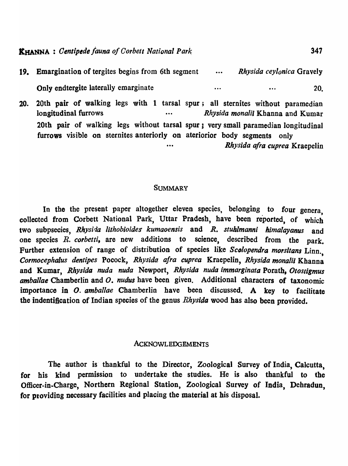| 19. Emargination of tergites begins from 6th segment | $\bullet\bullet\bullet$ | Rhysida ceylonica Gravely |     |
|------------------------------------------------------|-------------------------|---------------------------|-----|
| Only endtergite laterally emarginate                 | .                       | $\bullet\bullet\bullet$   | 20. |

20. 20th pair of walking legs with 1 tarsal spur; all sternites without paramedian longitudinal furrows *Rhysida monalii* Khanna and Kumar 20th pair of walking legs without tarsal spur; very small paramedian longitudinal furrows visible on sternites anteriorly on ateriorior body segments only .•• *Rhysida afra cuprea* Kraepelin

#### **SUMMARY**

In the the present paper altogether eleven species, belonging to four genera, collected from Corbett National Park, Uttar Pradesh, have been reported, of which two subpsecies, *Rhysida lithobioides kumaoensis* and *R. stuhlmanni himalayanus* and one species *R. corbetti,* are new additions to science, described from the park. Further extension of range of distribution of species like *Scolopendra morsitans* Linn. *Cormocephalus dentipea* Pocock, *Rhysida afra cuprea* KraepeIin, *Rhysida monalit* Khanna and Kumar, *Rhysida nuda nuda* Newport, *Rhysida nuda immarginata* Porath, *Otosligmus amballae* Chamberlin and *O. nudus* have been given. Additional characters of taxonomic importance in O. *amballae* Chamberlin have been discussed. A key to facilitate the indentification of Indian species of the genus *Rhysida* wood has also been provided.

#### ACKNOWLEDGEMENTS

The author is thankful to the Director, Zoological Survey of India, Calcutta, for his kind permission to undertake the studies. He is also thankful to the Officer-in-Charge, Northern Regional Station, Zoological Survey of India, Dehradun, for providing necessary facilities and placing the material at his disposal.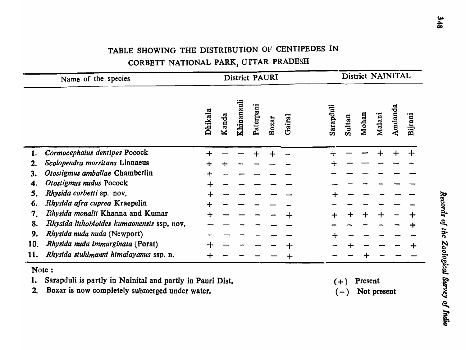# TABLE SHOWING THE DISTRIBUTION OF CENTIPEDES IN CORBETT NATIONAL PARK, UITAR PRADESH

|     | Name of the species                        | District PAURI |       |            |           |       |        | District NAINITAL |        |       |        |         |         |  |
|-----|--------------------------------------------|----------------|-------|------------|-----------|-------|--------|-------------------|--------|-------|--------|---------|---------|--|
|     |                                            | Dhikala        | Kanda | Khinanauli | Paterpani | Boxar | Gairal | Sarapduli         | Sultan | Mohan | Malani | Amdanda | Bijrani |  |
|     | Cormocephalus dentipes Pocock              |                |       |            |           |       |        |                   |        |       |        |         |         |  |
| 2.  | Scolopendra morsitans Linnaeus             |                |       |            |           |       |        |                   |        |       |        |         |         |  |
| 3.  | Otostigmus amballae Chamberlin             |                |       |            |           |       |        |                   |        |       |        |         |         |  |
| 4.  | Otostigmus nudus Pocock                    |                |       |            |           |       |        |                   |        |       |        |         |         |  |
| 5.  | Rhysida corbetti sp. nov.                  |                |       |            |           |       |        |                   |        |       |        |         |         |  |
| 6.  | Rhysida afra cuprea Kraepelin              |                |       |            |           |       |        |                   |        |       |        |         |         |  |
| 7.  | Rhysida monalii Khanna and Kumar           |                |       |            |           |       |        | ┿                 |        |       |        |         |         |  |
| 8.  | Rhysida lithobioides kumaonensis ssp. nov. |                |       |            |           |       |        |                   |        |       |        |         |         |  |
| 9.  | Rhysida nuda nuda (Newport)                |                |       |            |           |       |        |                   |        |       |        |         |         |  |
| 10. | Rhysida nuda immarginata (Porat)           |                |       |            |           |       |        |                   |        |       |        |         |         |  |
| 11. | Rhysida stuhlmanni himalayanus ssp. n.     |                |       |            |           |       |        |                   |        |       |        |         |         |  |

Sarapduli is partly in Nainital and partly in Pauri Dist.  $1.$ Boxar is now completely submerged under water.  $2.$ 

 $(+)$  Present  $(-)$  Not present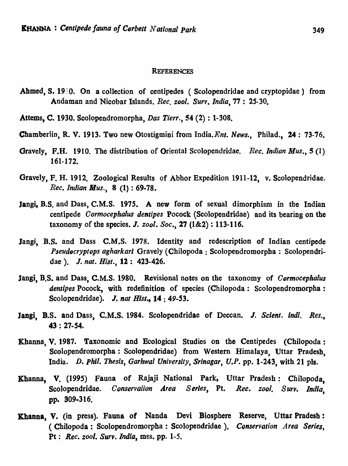#### **REFERENCES**

Ahmed, S. 1980. On a collection of centipedes (Scolopendridae and cryptopidae) from Andaman and Nicobar Islands. *Ree. zool. Sun. India,77: 25-30.* 

Attems, C. 1930. Scolopendromorpha, *Das Tierr.,* 54 (2) : 1-308.

- 'Chamberlin, R. V. 1913. Two new Otostigmini from India.Ent. *News.,* Philad., 24: 73-76.
- Gravely, F.R. 1910. The distribution of Oriental Scolopendridae. *Ree. Indian Mus.,* 5 (1) 161-172.
- Gravely, F. H. 1912. Zoological Results of Abhor Expedition 1911-12, v. Scolopendridae. *Ree. Indian Mus.,* 8 (1) : 69-78.
- Jangi, B.S. and Dass, C.M.S. 1975. A new form of sexual dimorphism in the Indian centipede *Oormoeephalus dentipes* Pocock (Scolopendridae) and its bearing on the taxonomy of the species. *J. zool. Soc.*, 27 (1&2) : 113-116.
- Jangi, B.S. and Dass C.M.S. 1978. Identity and redescription of Indian centipede *Pseudocryptops agharkari Gravely (Chilopoda: Scolopendromorpha: Scolopendri*dae). J. nat. Hist., 12: 423-426.
- Jangi, B.S. and Dass, C.M.S. 1980. Revisional notes on the taxonomy of *Cormocephalus* dentipes Pocock, with redefinition of species (Chilopoda: Scolopendromorpha: Scolopendridae). J. nat Hist., 14: 49-53.
- Jangi, B.S. and Dass, C.M.S. 1984. Scolopendridae of Deccan. J. Scient. indl. Res., 43 ; *27-S4.*
- Khanna, V. 1987. Taxonomic and Ecological Studies on the Centipedes (Chilopoda: Scolopendromorpha : Scolopendridae) from Western Himalaya, Uttar Pradesh, India. *D. phil. Thesis, Garhwal University, Srinagar, U.P.* pp. 1-243, with 21 pIs.
- Khanna, V. (1995) Fauna of Rajaji National Park, Uttar Pradesh: Chilopoda, Scolopendridae. *Conservation Area Series*, Pt. *Rec. zool. Surv. India.* pp. 309-316.
- Khanna, v. (in press). Fauna of Nanda Devi Biosphere Reserve, Uttar Pradesh: ( Chilopoda: Scolopendromorpha: Scolopendridae). *Conservation Area Series,*  Pt; *Ree. zool. Surv. India,* mss. pp. 1-5.